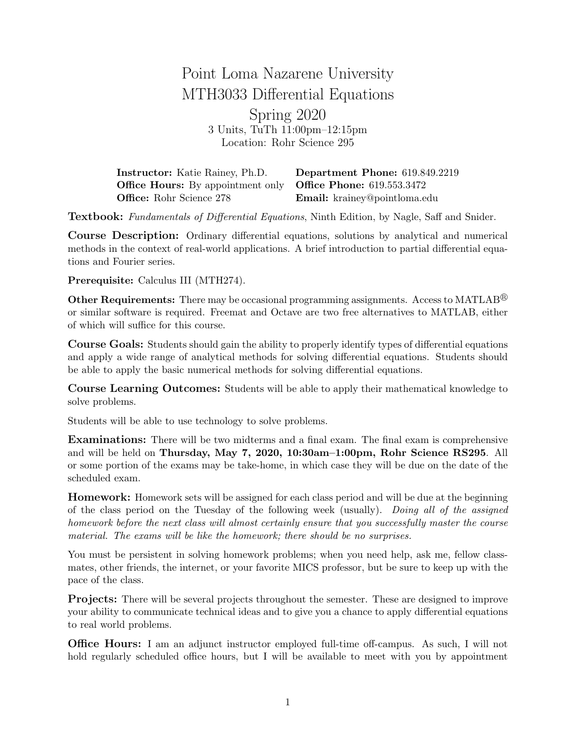## Point Loma Nazarene University MTH3033 Differential Equations Spring 2020 3 Units, TuTh 11:00pm–12:15pm Location: Rohr Science 295

Instructor: Katie Rainey, Ph.D. Department Phone: 619.849.2219 **Office Hours:** By appointment only **Office Phone:** 619.553.3472 Office: Rohr Science 278 Email: krainey@pointloma.edu

Textbook: Fundamentals of Differential Equations, Ninth Edition, by Nagle, Saff and Snider.

Course Description: Ordinary differential equations, solutions by analytical and numerical methods in the context of real-world applications. A brief introduction to partial differential equations and Fourier series.

Prerequisite: Calculus III (MTH274).

Other Requirements: There may be occasional programming assignments. Access to MATLAB<sup>®</sup> or similar software is required. Freemat and Octave are two free alternatives to MATLAB, either of which will suffice for this course.

Course Goals: Students should gain the ability to properly identify types of differential equations and apply a wide range of analytical methods for solving differential equations. Students should be able to apply the basic numerical methods for solving differential equations.

Course Learning Outcomes: Students will be able to apply their mathematical knowledge to solve problems.

Students will be able to use technology to solve problems.

Examinations: There will be two midterms and a final exam. The final exam is comprehensive and will be held on Thursday, May 7, 2020, 10:30am–1:00pm, Rohr Science RS295. All or some portion of the exams may be take-home, in which case they will be due on the date of the scheduled exam.

Homework: Homework sets will be assigned for each class period and will be due at the beginning of the class period on the Tuesday of the following week (usually). Doing all of the assigned homework before the next class will almost certainly ensure that you successfully master the course material. The exams will be like the homework; there should be no surprises.

You must be persistent in solving homework problems; when you need help, ask me, fellow classmates, other friends, the internet, or your favorite MICS professor, but be sure to keep up with the pace of the class.

Projects: There will be several projects throughout the semester. These are designed to improve your ability to communicate technical ideas and to give you a chance to apply differential equations to real world problems.

Office Hours: I am an adjunct instructor employed full-time off-campus. As such, I will not hold regularly scheduled office hours, but I will be available to meet with you by appointment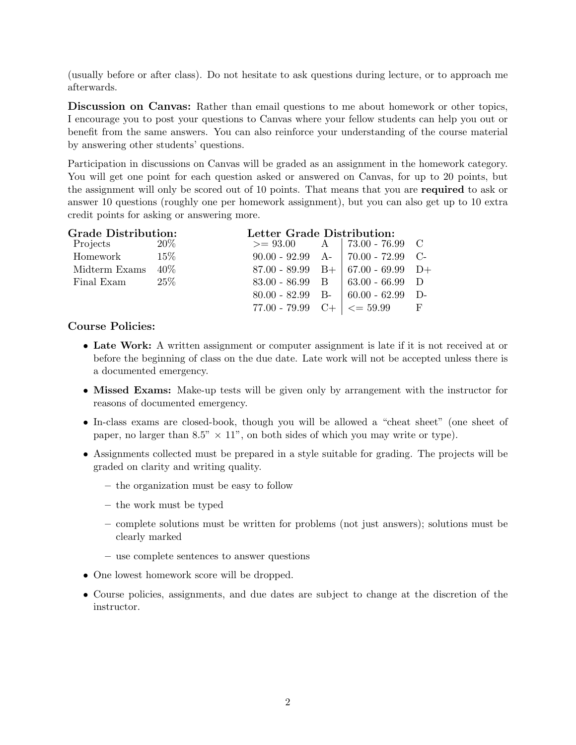(usually before or after class). Do not hesitate to ask questions during lecture, or to approach me afterwards.

Discussion on Canvas: Rather than email questions to me about homework or other topics, I encourage you to post your questions to Canvas where your fellow students can help you out or benefit from the same answers. You can also reinforce your understanding of the course material by answering other students' questions.

Participation in discussions on Canvas will be graded as an assignment in the homework category. You will get one point for each question asked or answered on Canvas, for up to 20 points, but the assignment will only be scored out of 10 points. That means that you are required to ask or answer 10 questions (roughly one per homework assignment), but you can also get up to 10 extra credit points for asking or answering more.

| <b>Grade Distribution:</b> |         | Letter Grade Distribution: |  |                                                  |          |
|----------------------------|---------|----------------------------|--|--------------------------------------------------|----------|
| Projects $20\%$            |         |                            |  | $>= 93.00$ A   73.00 - 76.99 C                   |          |
| Homework $15\%$            |         |                            |  | $90.00 - 92.99$ A- 70.00 - 72.99 C-              |          |
| Midterm Exams              | $40\%$  |                            |  | $87.00 - 89.99$ B+ $67.00 - 69.99$ D+            |          |
| Final Exam                 | $-25\%$ |                            |  | $83.00 - 86.99$ B $\mid 63.00 - 66.99$ D         |          |
|                            |         |                            |  | $80.00 - 82.99$ B- $60.00 - 62.99$               | $\Gamma$ |
|                            |         |                            |  | 77.00 - 79.99 C+ $\vert \langle = 59.99 \vert$ F |          |

## Course Policies:

- Late Work: A written assignment or computer assignment is late if it is not received at or before the beginning of class on the due date. Late work will not be accepted unless there is a documented emergency.
- Missed Exams: Make-up tests will be given only by arrangement with the instructor for reasons of documented emergency.
- In-class exams are closed-book, though you will be allowed a "cheat sheet" (one sheet of paper, no larger than 8.5"  $\times$  11", on both sides of which you may write or type).
- Assignments collected must be prepared in a style suitable for grading. The projects will be graded on clarity and writing quality.
	- the organization must be easy to follow
	- the work must be typed
	- complete solutions must be written for problems (not just answers); solutions must be clearly marked
	- use complete sentences to answer questions
- One lowest homework score will be dropped.
- Course policies, assignments, and due dates are subject to change at the discretion of the instructor.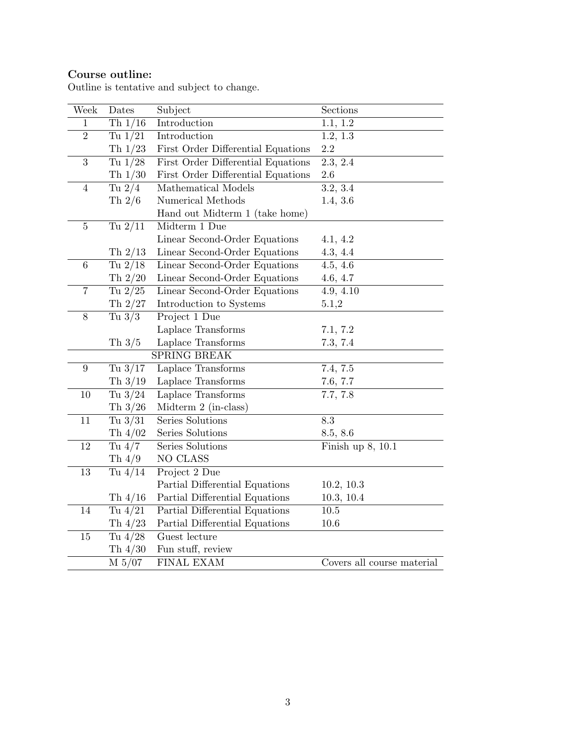## Course outline:

| Week           | Dates     | Subject                            | Sections                   |
|----------------|-----------|------------------------------------|----------------------------|
| $\mathbf{1}$   | Th $1/16$ | Introduction                       | 1.1, 1.2                   |
| $\overline{2}$ | Tu $1/21$ | Introduction                       | 1.2, 1.3                   |
|                | Th $1/23$ | First Order Differential Equations | $2.2\,$                    |
| 3              | Tu $1/28$ | First Order Differential Equations | $\overline{2.3, 2.4}$      |
|                | Th $1/30$ | First Order Differential Equations | $2.6\,$                    |
| $\overline{4}$ | Tu $2/4$  | Mathematical Models                | 3.2, 3.4                   |
|                | Th $2/6$  | Numerical Methods                  | 1.4, 3.6                   |
|                |           | Hand out Midterm 1 (take home)     |                            |
| $\overline{5}$ | Tu $2/11$ | Midterm 1 Due                      |                            |
|                |           | Linear Second-Order Equations      | 4.1, 4.2                   |
|                | Th $2/13$ | Linear Second-Order Equations      | 4.3, 4.4                   |
| 6              | Tu $2/18$ | Linear Second-Order Equations      | 4.5, 4.6                   |
|                | Th $2/20$ | Linear Second-Order Equations      | 4.6, 4.7                   |
| $\overline{7}$ | Tu $2/25$ | Linear Second-Order Equations      | 4.9, 4.10                  |
|                | Th $2/27$ | Introduction to Systems            | 5.1,2                      |
| 8              | Tu $3/3$  | Project 1 Due                      |                            |
|                |           | Laplace Transforms                 | 7.1, 7.2                   |
|                | Th $3/5$  | Laplace Transforms                 | 7.3, 7.4                   |
|                |           | SPRING BREAK                       |                            |
| 9              | Tu $3/17$ | Laplace Transforms                 | 7.4, 7.5                   |
|                | Th $3/19$ | Laplace Transforms                 | 7.6, 7.7                   |
| $10\,$         | Tu $3/24$ | Laplace Transforms                 | 7.7, 7.8                   |
|                | Th $3/26$ | Midterm 2 (in-class)               |                            |
| 11             | Tu $3/31$ | Series Solutions                   | 8.3                        |
|                | Th $4/02$ | Series Solutions                   | 8.5, 8.6                   |
| 12             | Tu $4/7$  | Series Solutions                   | Finish up 8, 10.1          |
|                | Th $4/9$  | NO CLASS                           |                            |
| 13             | Tu $4/14$ | Project 2 Due                      |                            |
|                |           | Partial Differential Equations     | 10.2, 10.3                 |
|                | Th $4/16$ | Partial Differential Equations     | 10.3, 10.4                 |
| 14             | Tu $4/21$ | Partial Differential Equations     | $10.5\,$                   |
|                | Th $4/23$ | Partial Differential Equations     | $10.6\,$                   |
| 15             | Tu $4/28$ | Guest lecture                      |                            |
|                | Th $4/30$ | Fun stuff, review                  |                            |
|                | M 5/07    | FINAL EXAM                         | Covers all course material |

Outline is tentative and subject to change.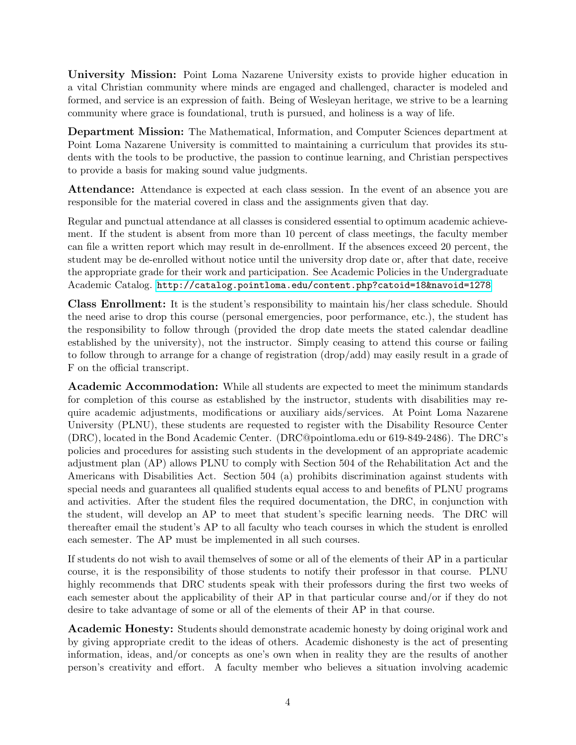University Mission: Point Loma Nazarene University exists to provide higher education in a vital Christian community where minds are engaged and challenged, character is modeled and formed, and service is an expression of faith. Being of Wesleyan heritage, we strive to be a learning community where grace is foundational, truth is pursued, and holiness is a way of life.

Department Mission: The Mathematical, Information, and Computer Sciences department at Point Loma Nazarene University is committed to maintaining a curriculum that provides its students with the tools to be productive, the passion to continue learning, and Christian perspectives to provide a basis for making sound value judgments.

Attendance: Attendance is expected at each class session. In the event of an absence you are responsible for the material covered in class and the assignments given that day.

Regular and punctual attendance at all classes is considered essential to optimum academic achievement. If the student is absent from more than 10 percent of class meetings, the faculty member can file a written report which may result in de-enrollment. If the absences exceed 20 percent, the student may be de-enrolled without notice until the university drop date or, after that date, receive the appropriate grade for their work and participation. See Academic Policies in the Undergraduate Academic Catalog. <http://catalog.pointloma.edu/content.php?catoid=18&navoid=1278>

Class Enrollment: It is the student's responsibility to maintain his/her class schedule. Should the need arise to drop this course (personal emergencies, poor performance, etc.), the student has the responsibility to follow through (provided the drop date meets the stated calendar deadline established by the university), not the instructor. Simply ceasing to attend this course or failing to follow through to arrange for a change of registration (drop/add) may easily result in a grade of F on the official transcript.

Academic Accommodation: While all students are expected to meet the minimum standards for completion of this course as established by the instructor, students with disabilities may require academic adjustments, modifications or auxiliary aids/services. At Point Loma Nazarene University (PLNU), these students are requested to register with the Disability Resource Center (DRC), located in the Bond Academic Center. (DRC@pointloma.edu or 619-849-2486). The DRC's policies and procedures for assisting such students in the development of an appropriate academic adjustment plan (AP) allows PLNU to comply with Section 504 of the Rehabilitation Act and the Americans with Disabilities Act. Section 504 (a) prohibits discrimination against students with special needs and guarantees all qualified students equal access to and benefits of PLNU programs and activities. After the student files the required documentation, the DRC, in conjunction with the student, will develop an AP to meet that student's specific learning needs. The DRC will thereafter email the student's AP to all faculty who teach courses in which the student is enrolled each semester. The AP must be implemented in all such courses.

If students do not wish to avail themselves of some or all of the elements of their AP in a particular course, it is the responsibility of those students to notify their professor in that course. PLNU highly recommends that DRC students speak with their professors during the first two weeks of each semester about the applicability of their AP in that particular course and/or if they do not desire to take advantage of some or all of the elements of their AP in that course.

Academic Honesty: Students should demonstrate academic honesty by doing original work and by giving appropriate credit to the ideas of others. Academic dishonesty is the act of presenting information, ideas, and/or concepts as one's own when in reality they are the results of another person's creativity and effort. A faculty member who believes a situation involving academic